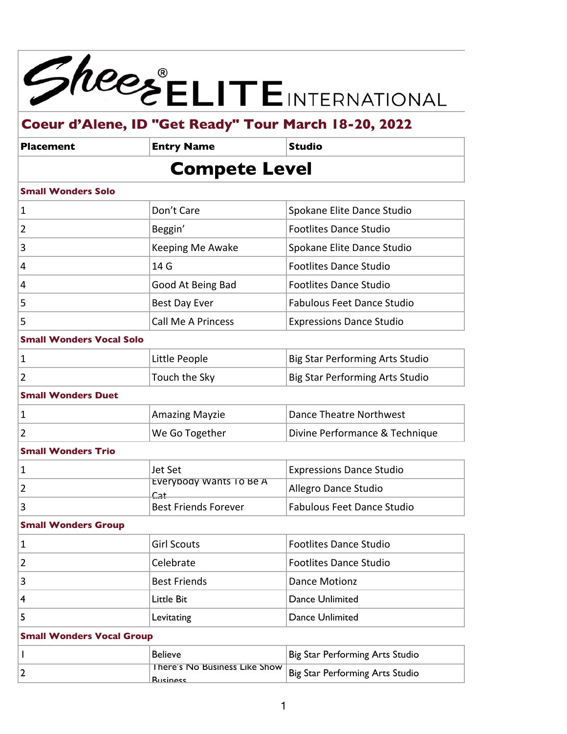

| Placement | <b>Entry Name</b>    | Studio |
|-----------|----------------------|--------|
|           | <b>Compete Level</b> |        |

### **Small Wonders Solo**

| $\mathbf 1$    | Don't Care                | Spokane Elite Dance Studio        |
|----------------|---------------------------|-----------------------------------|
| $\overline{2}$ | Beggin'                   | <b>Footlites Dance Studio</b>     |
| 3              | Keeping Me Awake          | Spokane Elite Dance Studio        |
| $\overline{4}$ | 14 G                      | <b>Footlites Dance Studio</b>     |
| $\overline{4}$ | Good At Being Bad         | <b>Footlites Dance Studio</b>     |
| 5              | <b>Best Day Ever</b>      | <b>Fabulous Feet Dance Studio</b> |
| 5              | <b>Call Me A Princess</b> | <b>Expressions Dance Studio</b>   |

### **Small Wonders Vocal Solo**

| Little People | Big Star Performing Arts Studio |
|---------------|---------------------------------|
| Touch the Sky | Big Star Performing Arts Studio |

## **Small Wonders Duet**

| Amazing Mayzie        | Dance Theatre Northwest        |
|-----------------------|--------------------------------|
| <b>We Go Together</b> | Divine Performance & Technique |

### **Small Wonders Trio**

| Jet Set                                        | <b>Expressions Dance Studio</b> |
|------------------------------------------------|---------------------------------|
| Everybody Wants To Be A<br>$C_{21}$            | Allegro Dance Studio            |
| <b>ALC: YES</b><br><b>Best Friends Forever</b> | Fabulous Feet Dance Studio      |

### **Small Wonders Group**

|    | <b>Girl Scouts</b>  | Footlites Dance Studio |
|----|---------------------|------------------------|
|    | Celebrate           | Footlites Dance Studio |
| 13 | <b>Best Friends</b> | Dance Motionz          |
| ∣4 | Little Bit          | Dance Unlimited        |
|    | Levitating          | Dance Unlimited        |

### **Small Wonders Vocal Group**

| <b>Believe</b>                                   | Big Star Performing Arts Studio |
|--------------------------------------------------|---------------------------------|
| There's No Business Like Show<br><b>Rucinosc</b> | Big Star Performing Arts Studio |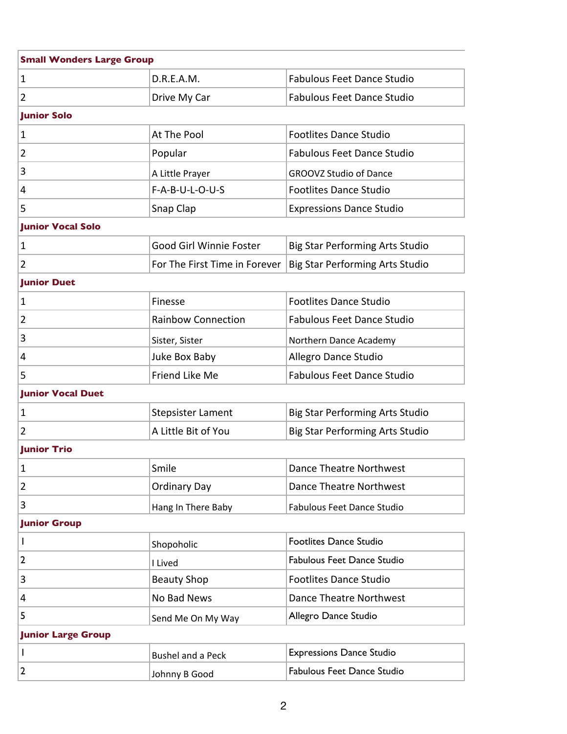| <b>Small Wonders Large Group</b> |                               |                                        |
|----------------------------------|-------------------------------|----------------------------------------|
| $\mathbf{1}$                     | D.R.E.A.M.                    | <b>Fabulous Feet Dance Studio</b>      |
| $\overline{2}$                   | Drive My Car                  | <b>Fabulous Feet Dance Studio</b>      |
| <b>Junior Solo</b>               |                               |                                        |
| 1                                | At The Pool                   | <b>Footlites Dance Studio</b>          |
| 2                                | Popular                       | <b>Fabulous Feet Dance Studio</b>      |
| 3                                | A Little Prayer               | <b>GROOVZ Studio of Dance</b>          |
| 4                                | F-A-B-U-L-O-U-S               | <b>Footlites Dance Studio</b>          |
| 5                                | Snap Clap                     | <b>Expressions Dance Studio</b>        |
| <b>Junior Vocal Solo</b>         |                               |                                        |
| 1                                | Good Girl Winnie Foster       | <b>Big Star Performing Arts Studio</b> |
| $\overline{2}$                   | For The First Time in Forever | <b>Big Star Performing Arts Studio</b> |
| <b>Junior Duet</b>               |                               |                                        |
| 1                                | Finesse                       | <b>Footlites Dance Studio</b>          |
| $\overline{2}$                   | <b>Rainbow Connection</b>     | <b>Fabulous Feet Dance Studio</b>      |
| 3                                | Sister, Sister                | Northern Dance Academy                 |
| 4                                | Juke Box Baby                 | Allegro Dance Studio                   |
| 5                                | Friend Like Me                | <b>Fabulous Feet Dance Studio</b>      |
| <b>Junior Vocal Duet</b>         |                               |                                        |
| 1                                | <b>Stepsister Lament</b>      | <b>Big Star Performing Arts Studio</b> |
| $\overline{2}$                   | A Little Bit of You           | <b>Big Star Performing Arts Studio</b> |
| <b>Junior Trio</b>               |                               |                                        |
| 1                                | Smile                         | <b>Dance Theatre Northwest</b>         |
| $\overline{2}$                   | <b>Ordinary Day</b>           | <b>Dance Theatre Northwest</b>         |
| 3                                | Hang In There Baby            | <b>Fabulous Feet Dance Studio</b>      |
| <b>Junior Group</b>              |                               |                                        |
| L                                | Shopoholic                    | <b>Footlites Dance Studio</b>          |
| $\overline{2}$                   | I Lived                       | <b>Fabulous Feet Dance Studio</b>      |
| 3                                | <b>Beauty Shop</b>            | <b>Footlites Dance Studio</b>          |
| 4                                | No Bad News                   | <b>Dance Theatre Northwest</b>         |
| 5                                | Send Me On My Way             | Allegro Dance Studio                   |
| <b>Junior Large Group</b>        |                               |                                        |
| L                                | <b>Bushel and a Peck</b>      | <b>Expressions Dance Studio</b>        |
| $\overline{2}$                   | Johnny B Good                 | <b>Fabulous Feet Dance Studio</b>      |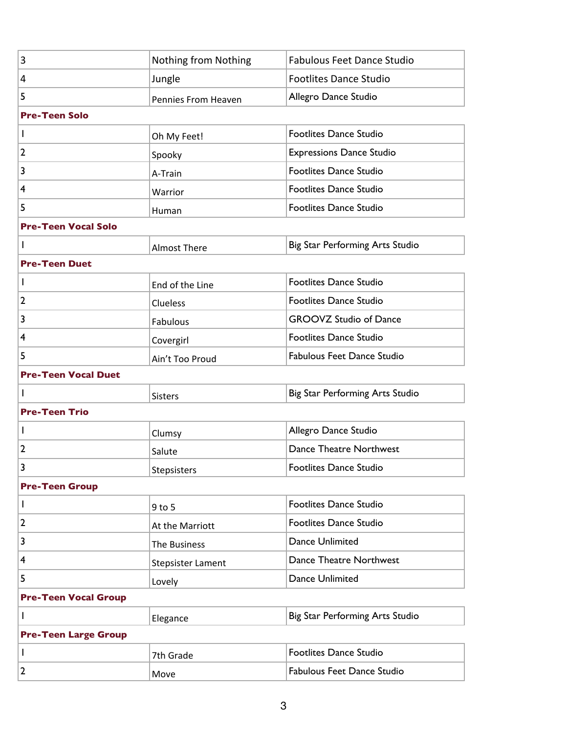| $\overline{3}$              | Nothing from Nothing     | <b>Fabulous Feet Dance Studio</b> |
|-----------------------------|--------------------------|-----------------------------------|
| 4                           | Jungle                   | <b>Footlites Dance Studio</b>     |
| 5                           | Pennies From Heaven      | Allegro Dance Studio              |
| <b>Pre-Teen Solo</b>        |                          |                                   |
| $\mathbf{I}$                | Oh My Feet!              | <b>Footlites Dance Studio</b>     |
| $\overline{2}$              | Spooky                   | <b>Expressions Dance Studio</b>   |
| 3                           | A-Train                  | <b>Footlites Dance Studio</b>     |
| 4                           | Warrior                  | <b>Footlites Dance Studio</b>     |
| 5                           | Human                    | Footlites Dance Studio            |
| <b>Pre-Teen Vocal Solo</b>  |                          |                                   |
| $\mathbf{I}$                | <b>Almost There</b>      | Big Star Performing Arts Studio   |
| <b>Pre-Teen Duet</b>        |                          |                                   |
| $\mathbf{I}$                | End of the Line          | <b>Footlites Dance Studio</b>     |
| $\overline{2}$              | Clueless                 | <b>Footlites Dance Studio</b>     |
| 3                           | Fabulous                 | <b>GROOVZ Studio of Dance</b>     |
| 4                           | Covergirl                | Footlites Dance Studio            |
| 5                           | Ain't Too Proud          | <b>Fabulous Feet Dance Studio</b> |
| <b>Pre-Teen Vocal Duet</b>  |                          |                                   |
| T                           | <b>Sisters</b>           | Big Star Performing Arts Studio   |
| <b>Pre-Teen Trio</b>        |                          |                                   |
| $\mathbf{I}$                | Clumsy                   | Allegro Dance Studio              |
| $\overline{2}$              | Salute                   | Dance Theatre Northwest           |
|                             | Stepsisters              | Footlites Dance Studio            |
| <b>Pre-Teen Group</b>       |                          |                                   |
|                             |                          |                                   |
| $\mathbf{I}$                | $9$ to 5                 | Footlites Dance Studio            |
| $\overline{2}$              | At the Marriott          | <b>Footlites Dance Studio</b>     |
| $\overline{\mathbf{3}}$     | The Business             | Dance Unlimited                   |
| $\overline{\mathbf{4}}$     | <b>Stepsister Lament</b> | Dance Theatre Northwest           |
| 5                           | Lovely                   | <b>Dance Unlimited</b>            |
| <b>Pre-Teen Vocal Group</b> |                          |                                   |
| T                           | Elegance                 | Big Star Performing Arts Studio   |
| <b>Pre-Teen Large Group</b> |                          |                                   |
| $\mathbf{I}$                | 7th Grade                | <b>Footlites Dance Studio</b>     |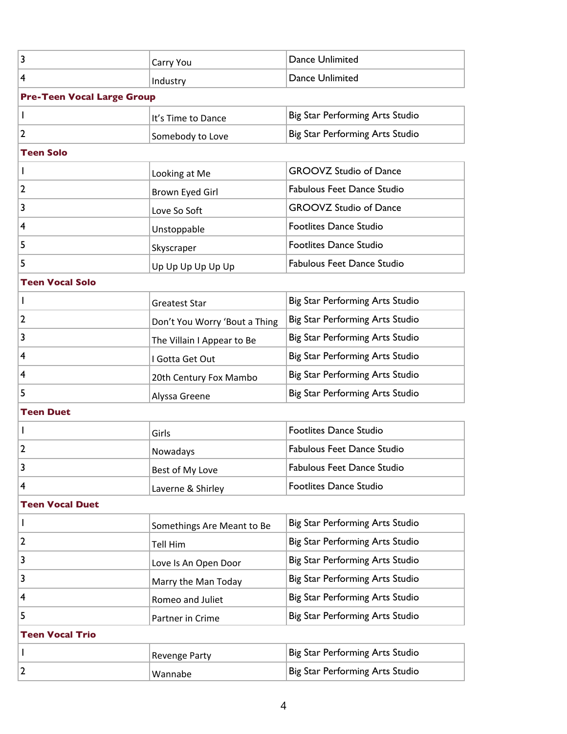| 3                                 | Carry You                     | <b>Dance Unlimited</b>            |
|-----------------------------------|-------------------------------|-----------------------------------|
| 4                                 | Industry                      | Dance Unlimited                   |
| <b>Pre-Teen Vocal Large Group</b> |                               |                                   |
| $\mathbf{I}$                      | It's Time to Dance            | Big Star Performing Arts Studio   |
| 2                                 | Somebody to Love              | Big Star Performing Arts Studio   |
| <b>Teen Solo</b>                  |                               |                                   |
| L                                 | Looking at Me                 | <b>GROOVZ Studio of Dance</b>     |
| 2                                 | Brown Eyed Girl               | <b>Fabulous Feet Dance Studio</b> |
| 3                                 | Love So Soft                  | <b>GROOVZ Studio of Dance</b>     |
| 4                                 | Unstoppable                   | <b>Footlites Dance Studio</b>     |
| 5                                 | Skyscraper                    | <b>Footlites Dance Studio</b>     |
| 5                                 | Up Up Up Up Up Up             | <b>Fabulous Feet Dance Studio</b> |
| <b>Teen Vocal Solo</b>            |                               |                                   |
|                                   | <b>Greatest Star</b>          | Big Star Performing Arts Studio   |
| 2                                 | Don't You Worry 'Bout a Thing | Big Star Performing Arts Studio   |
| 3                                 | The Villain I Appear to Be    | Big Star Performing Arts Studio   |
| 4                                 | I Gotta Get Out               | Big Star Performing Arts Studio   |
| 4                                 | 20th Century Fox Mambo        | Big Star Performing Arts Studio   |
| 5                                 | Alyssa Greene                 | Big Star Performing Arts Studio   |
| <b>Teen Duet</b>                  |                               |                                   |
|                                   | Girls                         | <b>Footlites Dance Studio</b>     |
| 2                                 | Nowadays                      | <b>Fabulous Feet Dance Studio</b> |
| 3                                 | Best of My Love               | <b>Fabulous Feet Dance Studio</b> |
| 4                                 | Laverne & Shirley             | <b>Footlites Dance Studio</b>     |
| <b>Teen Vocal Duet</b>            |                               |                                   |
| L                                 | Somethings Are Meant to Be    | Big Star Performing Arts Studio   |
| 2                                 | <b>Tell Him</b>               | Big Star Performing Arts Studio   |
| 3                                 | Love Is An Open Door          | Big Star Performing Arts Studio   |
| 3                                 | Marry the Man Today           | Big Star Performing Arts Studio   |
| 4                                 | Romeo and Juliet              | Big Star Performing Arts Studio   |
| 5                                 | Partner in Crime              | Big Star Performing Arts Studio   |
| <b>Teen Vocal Trio</b>            |                               |                                   |
|                                   | <b>Revenge Party</b>          | Big Star Performing Arts Studio   |
| 2                                 | Wannabe                       | Big Star Performing Arts Studio   |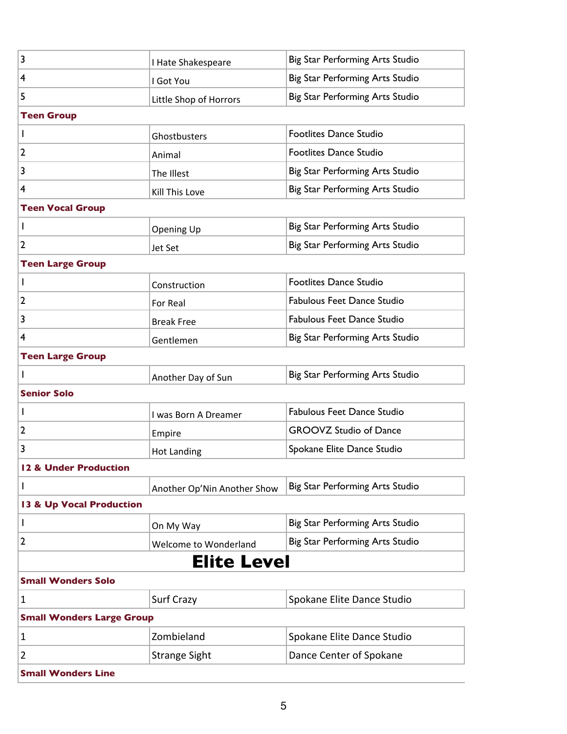| 3                                | I Hate Shakespeare          | Big Star Performing Arts Studio   |
|----------------------------------|-----------------------------|-----------------------------------|
| 4                                | I Got You                   | Big Star Performing Arts Studio   |
| 5                                | Little Shop of Horrors      | Big Star Performing Arts Studio   |
| <b>Teen Group</b>                |                             |                                   |
| I.                               | Ghostbusters                | <b>Footlites Dance Studio</b>     |
| 2                                | Animal                      | <b>Footlites Dance Studio</b>     |
| 3                                | The Illest                  | Big Star Performing Arts Studio   |
| 4                                | Kill This Love              | Big Star Performing Arts Studio   |
| <b>Teen Vocal Group</b>          |                             |                                   |
| T                                | <b>Opening Up</b>           | Big Star Performing Arts Studio   |
| 2                                | <b>Jet Set</b>              | Big Star Performing Arts Studio   |
| <b>Teen Large Group</b>          |                             |                                   |
| T                                | Construction                | <b>Footlites Dance Studio</b>     |
| 2                                | For Real                    | Fabulous Feet Dance Studio        |
| 3                                | <b>Break Free</b>           | Fabulous Feet Dance Studio        |
| 4                                | Gentlemen                   | Big Star Performing Arts Studio   |
| <b>Teen Large Group</b>          |                             |                                   |
| $\mathbf{I}$                     | Another Day of Sun          | Big Star Performing Arts Studio   |
| <b>Senior Solo</b>               |                             |                                   |
| T                                | I was Born A Dreamer        | <b>Fabulous Feet Dance Studio</b> |
| 2                                | Empire                      | <b>GROOVZ Studio of Dance</b>     |
| 3                                | <b>Hot Landing</b>          | Spokane Elite Dance Studio        |
| 12 & Under Production            |                             |                                   |
| T                                | Another Op'Nin Another Show | Big Star Performing Arts Studio   |
| 13 & Up Vocal Production         |                             |                                   |
| L                                | On My Way                   | Big Star Performing Arts Studio   |
| 2                                | Welcome to Wonderland       | Big Star Performing Arts Studio   |
|                                  | <b>Elite Level</b>          |                                   |
| <b>Small Wonders Solo</b>        |                             |                                   |
| $\mathbf{1}$                     | Surf Crazy                  | Spokane Elite Dance Studio        |
| <b>Small Wonders Large Group</b> |                             |                                   |
| 1                                | Zombieland                  | Spokane Elite Dance Studio        |
| 2                                | <b>Strange Sight</b>        | Dance Center of Spokane           |
| <b>Small Wonders Line</b>        |                             |                                   |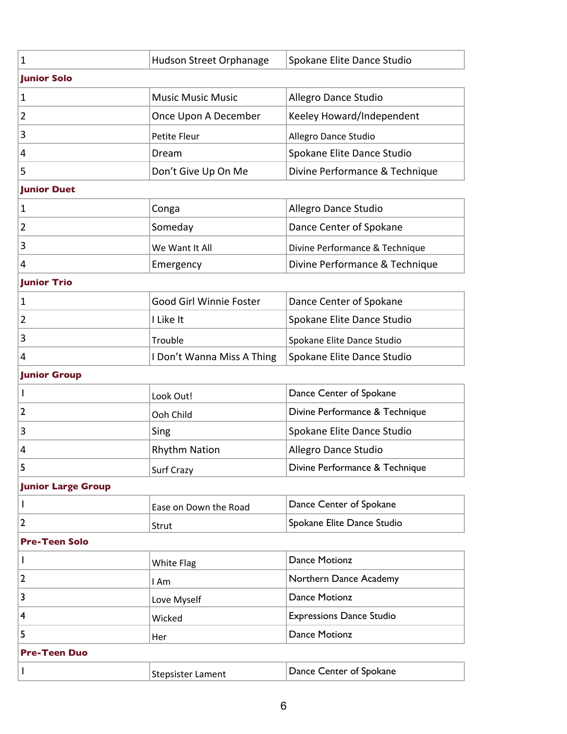| $\mathbf{1}$              | Hudson Street Orphanage        | Spokane Elite Dance Studio      |
|---------------------------|--------------------------------|---------------------------------|
| <b>Junior Solo</b>        |                                |                                 |
| $\mathbf{1}$              | <b>Music Music Music</b>       | Allegro Dance Studio            |
| 2                         | Once Upon A December           | Keeley Howard/Independent       |
| 3                         | Petite Fleur                   | Allegro Dance Studio            |
| 4                         | Dream                          | Spokane Elite Dance Studio      |
| 5                         | Don't Give Up On Me            | Divine Performance & Technique  |
| <b>Junior Duet</b>        |                                |                                 |
| $\mathbf{1}$              | Conga                          | Allegro Dance Studio            |
| 2                         | Someday                        | Dance Center of Spokane         |
| 3                         | We Want It All                 | Divine Performance & Technique  |
| 4                         | Emergency                      | Divine Performance & Technique  |
| <b>Junior Trio</b>        |                                |                                 |
| 1                         | <b>Good Girl Winnie Foster</b> | Dance Center of Spokane         |
| 2                         | I Like It                      | Spokane Elite Dance Studio      |
| 3                         | Trouble                        | Spokane Elite Dance Studio      |
| 4                         | I Don't Wanna Miss A Thing     | Spokane Elite Dance Studio      |
| <b>Junior Group</b>       |                                |                                 |
| T                         | Look Out!                      | Dance Center of Spokane         |
|                           |                                | Divine Performance & Technique  |
| 2                         | Ooh Child                      |                                 |
| 3                         | Sing                           | Spokane Elite Dance Studio      |
| 4                         | <b>Rhythm Nation</b>           | Allegro Dance Studio            |
| 5                         | Surf Crazy                     | Divine Performance & Technique  |
| <b>Junior Large Group</b> |                                |                                 |
| T                         | Ease on Down the Road          | Dance Center of Spokane         |
| 2                         | Strut                          | Spokane Elite Dance Studio      |
| <b>Pre-Teen Solo</b>      |                                |                                 |
| I                         | <b>White Flag</b>              | <b>Dance Motionz</b>            |
| 2                         | I Am                           | Northern Dance Academy          |
| 3                         | Love Myself                    | <b>Dance Motionz</b>            |
| 4                         | Wicked                         | <b>Expressions Dance Studio</b> |
| 5                         | Her                            | <b>Dance Motionz</b>            |
| <b>Pre-Teen Duo</b>       |                                |                                 |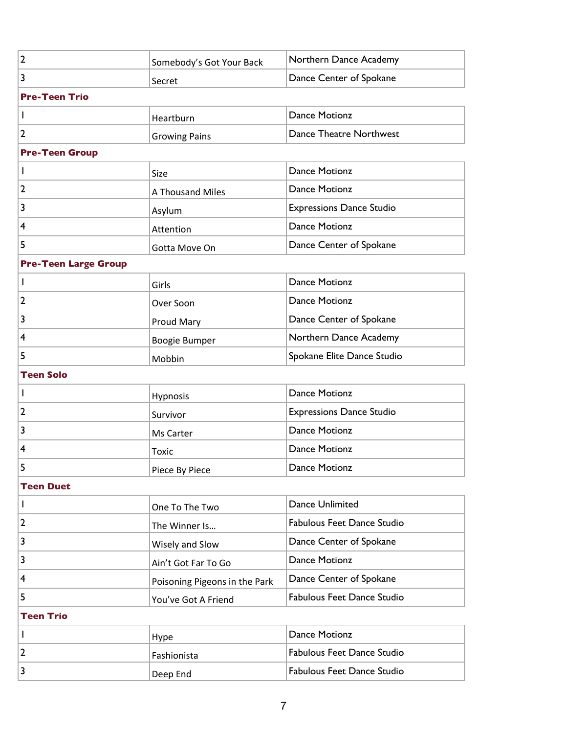| $\overline{2}$              | Somebody's Got Your Back      | Northern Dance Academy            |
|-----------------------------|-------------------------------|-----------------------------------|
| 3                           | Secret                        | Dance Center of Spokane           |
| <b>Pre-Teen Trio</b>        |                               |                                   |
| I                           | Heartburn                     | <b>Dance Motionz</b>              |
| $\overline{2}$              | <b>Growing Pains</b>          | Dance Theatre Northwest           |
| <b>Pre-Teen Group</b>       |                               |                                   |
| I                           | Size                          | <b>Dance Motionz</b>              |
| $\overline{2}$              | A Thousand Miles              | <b>Dance Motionz</b>              |
| 3                           | Asylum                        | <b>Expressions Dance Studio</b>   |
| 4                           | Attention                     | <b>Dance Motionz</b>              |
| 5                           | Gotta Move On                 | Dance Center of Spokane           |
| <b>Pre-Teen Large Group</b> |                               |                                   |
| L                           | Girls                         | <b>Dance Motionz</b>              |
| $\overline{2}$              | Over Soon                     | <b>Dance Motionz</b>              |
| 3                           | Proud Mary                    | Dance Center of Spokane           |
| 4                           | Boogie Bumper                 | Northern Dance Academy            |
| 5                           | Mobbin                        | Spokane Elite Dance Studio        |
| <b>Teen Solo</b>            |                               |                                   |
| I                           | Hypnosis                      | <b>Dance Motionz</b>              |
| $\overline{2}$              | Survivor                      | <b>Expressions Dance Studio</b>   |
| 3                           | Ms Carter                     | <b>Dance Motionz</b>              |
| 4                           | <b>Toxic</b>                  | <b>Dance Motionz</b>              |
|                             | Piece By Piece                | Dance Motionz                     |
| <b>Teen Duet</b>            |                               |                                   |
| I                           | One To The Two                | Dance Unlimited                   |
| $\overline{2}$              | The Winner Is                 | <b>Fabulous Feet Dance Studio</b> |
| 3                           | Wisely and Slow               | Dance Center of Spokane           |
| 3                           | Ain't Got Far To Go           | <b>Dance Motionz</b>              |
| 4                           | Poisoning Pigeons in the Park | Dance Center of Spokane           |
| 5                           | You've Got A Friend           | Fabulous Feet Dance Studio        |
| <b>Teen Trio</b>            |                               |                                   |
| $\mathsf{I}$                | Hype                          | <b>Dance Motionz</b>              |
| $\overline{2}$              | Fashionista                   | <b>Fabulous Feet Dance Studio</b> |
| 3                           | Deep End                      | Fabulous Feet Dance Studio        |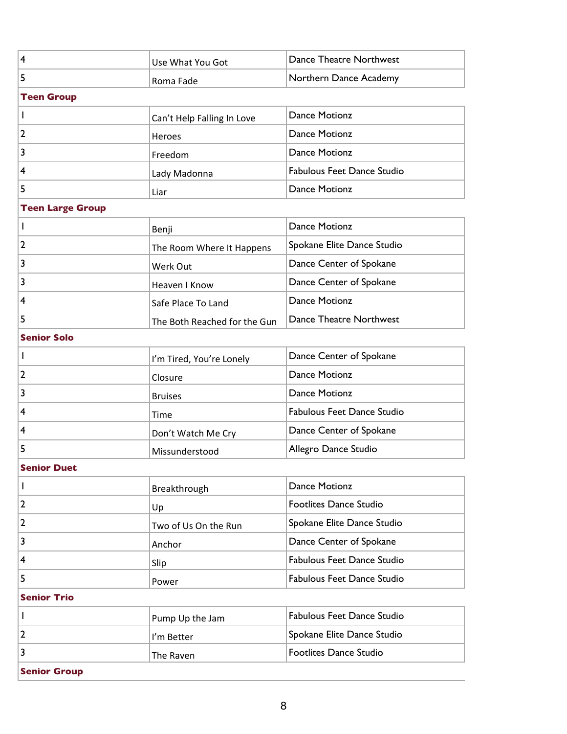| 4                       | Use What You Got             | Dance Theatre Northwest           |
|-------------------------|------------------------------|-----------------------------------|
| 5                       | Roma Fade                    | Northern Dance Academy            |
| <b>Teen Group</b>       |                              |                                   |
| L                       | Can't Help Falling In Love   | <b>Dance Motionz</b>              |
| 2                       | Heroes                       | Dance Motionz                     |
| 3                       | Freedom                      | <b>Dance Motionz</b>              |
| 4                       | Lady Madonna                 | <b>Fabulous Feet Dance Studio</b> |
| 5                       | Liar                         | <b>Dance Motionz</b>              |
| <b>Teen Large Group</b> |                              |                                   |
| L                       | Benji                        | <b>Dance Motionz</b>              |
| 2                       | The Room Where It Happens    | Spokane Elite Dance Studio        |
| 3                       | Werk Out                     | Dance Center of Spokane           |
| 3                       | Heaven I Know                | Dance Center of Spokane           |
| 4                       | Safe Place To Land           | <b>Dance Motionz</b>              |
| 5                       | The Both Reached for the Gun | Dance Theatre Northwest           |
| <b>Senior Solo</b>      |                              |                                   |
| L                       | I'm Tired, You're Lonely     | Dance Center of Spokane           |
| 2                       | Closure                      | <b>Dance Motionz</b>              |
| 3                       | <b>Bruises</b>               | <b>Dance Motionz</b>              |
| 4                       | Time                         | <b>Fabulous Feet Dance Studio</b> |
| 4                       | Don't Watch Me Cry           | Dance Center of Spokane           |
| 5                       | Missunderstood               | Allegro Dance Studio              |
| Senior Duet             |                              |                                   |
| L                       | Breakthrough                 | Dance Motionz                     |
| $\overline{2}$          | Up                           | Footlites Dance Studio            |
| 2                       | Two of Us On the Run         | Spokane Elite Dance Studio        |
| 3                       | Anchor                       | Dance Center of Spokane           |
| 4                       | Slip                         | Fabulous Feet Dance Studio        |
| 5                       | Power                        | <b>Fabulous Feet Dance Studio</b> |
| <b>Senior Trio</b>      |                              |                                   |
| L                       | Pump Up the Jam              | <b>Fabulous Feet Dance Studio</b> |
| 2                       | I'm Better                   | Spokane Elite Dance Studio        |
| 3                       | The Raven                    | <b>Footlites Dance Studio</b>     |
| <b>Senior Group</b>     |                              |                                   |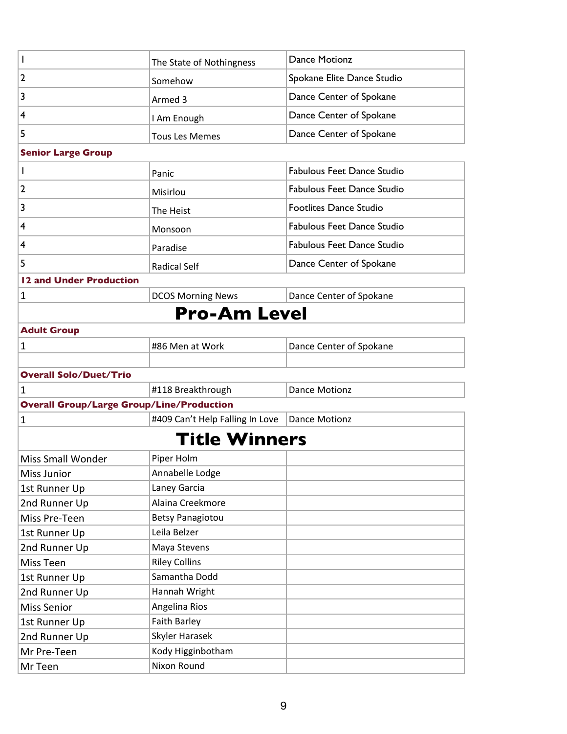| J.                                               | The State of Nothingness        | <b>Dance Motionz</b>              |
|--------------------------------------------------|---------------------------------|-----------------------------------|
| 2                                                | Somehow                         | Spokane Elite Dance Studio        |
| 3                                                | Armed 3                         | Dance Center of Spokane           |
| 4                                                | I Am Enough                     | Dance Center of Spokane           |
| 5                                                | <b>Tous Les Memes</b>           | Dance Center of Spokane           |
| <b>Senior Large Group</b>                        |                                 |                                   |
| T                                                | Panic                           | <b>Fabulous Feet Dance Studio</b> |
| $\overline{2}$                                   | Misirlou                        | <b>Fabulous Feet Dance Studio</b> |
| 3                                                | The Heist                       | Footlites Dance Studio            |
| 4                                                |                                 | <b>Fabulous Feet Dance Studio</b> |
|                                                  | Monsoon                         |                                   |
| 4                                                | Paradise                        | <b>Fabulous Feet Dance Studio</b> |
| 5                                                | <b>Radical Self</b>             | Dance Center of Spokane           |
| 12 and Under Production                          |                                 |                                   |
| $\mathbf 1$                                      | <b>DCOS Morning News</b>        | Dance Center of Spokane           |
|                                                  | <b>Pro-Am Level</b>             |                                   |
| <b>Adult Group</b>                               |                                 |                                   |
| 1                                                | #86 Men at Work                 | Dance Center of Spokane           |
|                                                  |                                 |                                   |
| <b>Overall Solo/Duet/Trio</b>                    |                                 |                                   |
| 1                                                | #118 Breakthrough               | <b>Dance Motionz</b>              |
| <b>Overall Group/Large Group/Line/Production</b> |                                 |                                   |
| $\mathbf{1}$                                     | #409 Can't Help Falling In Love | <b>Dance Motionz</b>              |
|                                                  | <b>Title Winners</b>            |                                   |
| <b>Miss Small Wonder</b>                         | Piper Holm                      |                                   |
| <b>Miss Junior</b>                               | Annabelle Lodge                 |                                   |
| 1st Runner Up                                    | Laney Garcia                    |                                   |
| 2nd Runner Up                                    | Alaina Creekmore                |                                   |
| Miss Pre-Teen                                    | <b>Betsy Panagiotou</b>         |                                   |
| 1st Runner Up                                    | Leila Belzer                    |                                   |
| 2nd Runner Up                                    | Maya Stevens                    |                                   |
| <b>Miss Teen</b>                                 | <b>Riley Collins</b>            |                                   |
| 1st Runner Up                                    | Samantha Dodd                   |                                   |
| 2nd Runner Up                                    | Hannah Wright                   |                                   |
| <b>Miss Senior</b>                               | Angelina Rios                   |                                   |
| 1st Runner Up                                    | <b>Faith Barley</b>             |                                   |
| 2nd Runner Up                                    | Skyler Harasek                  |                                   |
| Mr Pre-Teen                                      | Kody Higginbotham               |                                   |
| Mr Teen                                          | Nixon Round                     |                                   |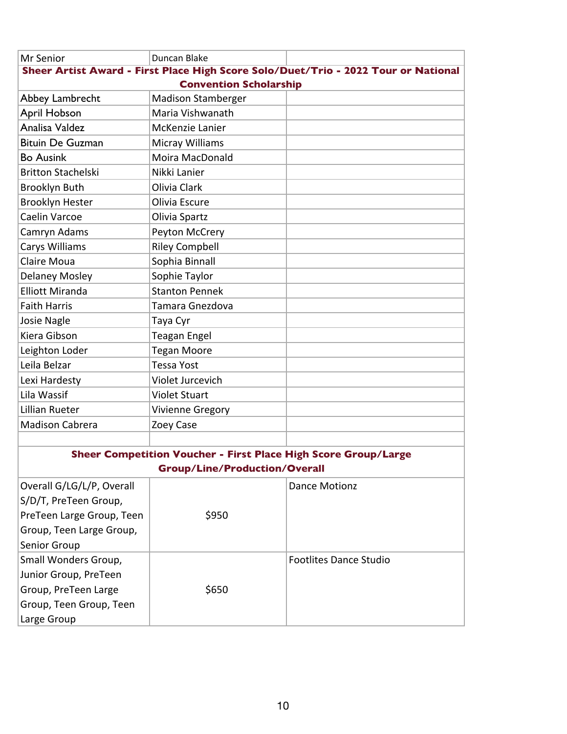| Mr Senior                 | Duncan Blake                                                   |                                                                                    |
|---------------------------|----------------------------------------------------------------|------------------------------------------------------------------------------------|
|                           |                                                                | Sheer Artist Award - First Place High Score Solo/Duet/Trio - 2022 Tour or National |
|                           | <b>Convention Scholarship</b>                                  |                                                                                    |
| Abbey Lambrecht           | <b>Madison Stamberger</b>                                      |                                                                                    |
| <b>April Hobson</b>       | Maria Vishwanath                                               |                                                                                    |
| Analisa Valdez            | <b>McKenzie Lanier</b>                                         |                                                                                    |
| <b>Bituin De Guzman</b>   | <b>Micray Williams</b>                                         |                                                                                    |
| <b>Bo Ausink</b>          | Moira MacDonald                                                |                                                                                    |
| <b>Britton Stachelski</b> | Nikki Lanier                                                   |                                                                                    |
| <b>Brooklyn Buth</b>      | Olivia Clark                                                   |                                                                                    |
| <b>Brooklyn Hester</b>    | Olivia Escure                                                  |                                                                                    |
| Caelin Varcoe             | Olivia Spartz                                                  |                                                                                    |
| Camryn Adams              | Peyton McCrery                                                 |                                                                                    |
| <b>Carys Williams</b>     | <b>Riley Compbell</b>                                          |                                                                                    |
| Claire Moua               | Sophia Binnall                                                 |                                                                                    |
| <b>Delaney Mosley</b>     | Sophie Taylor                                                  |                                                                                    |
| <b>Elliott Miranda</b>    | <b>Stanton Pennek</b>                                          |                                                                                    |
| <b>Faith Harris</b>       | Tamara Gnezdova                                                |                                                                                    |
| Josie Nagle               | Taya Cyr                                                       |                                                                                    |
| Kiera Gibson              | <b>Teagan Engel</b>                                            |                                                                                    |
| Leighton Loder            | <b>Tegan Moore</b>                                             |                                                                                    |
| Leila Belzar              | <b>Tessa Yost</b>                                              |                                                                                    |
| Lexi Hardesty             | Violet Jurcevich                                               |                                                                                    |
| Lila Wassif               | <b>Violet Stuart</b>                                           |                                                                                    |
| Lillian Rueter            | <b>Vivienne Gregory</b>                                        |                                                                                    |
| <b>Madison Cabrera</b>    | Zoey Case                                                      |                                                                                    |
|                           |                                                                |                                                                                    |
|                           | Sheer Competition Voucher - First Place High Score Group/Large |                                                                                    |
|                           | <b>Group/Line/Production/Overall</b>                           |                                                                                    |
| Overall G/LG/L/P, Overall |                                                                | <b>Dance Motionz</b>                                                               |
| S/D/T, PreTeen Group,     |                                                                |                                                                                    |
| PreTeen Large Group, Teen | \$950                                                          |                                                                                    |
| Group, Teen Large Group,  |                                                                |                                                                                    |
| Senior Group              |                                                                |                                                                                    |
| Small Wonders Group,      |                                                                | <b>Footlites Dance Studio</b>                                                      |
| Junior Group, PreTeen     |                                                                |                                                                                    |
| Group, PreTeen Large      | \$650                                                          |                                                                                    |
| Group, Teen Group, Teen   |                                                                |                                                                                    |
| Large Group               |                                                                |                                                                                    |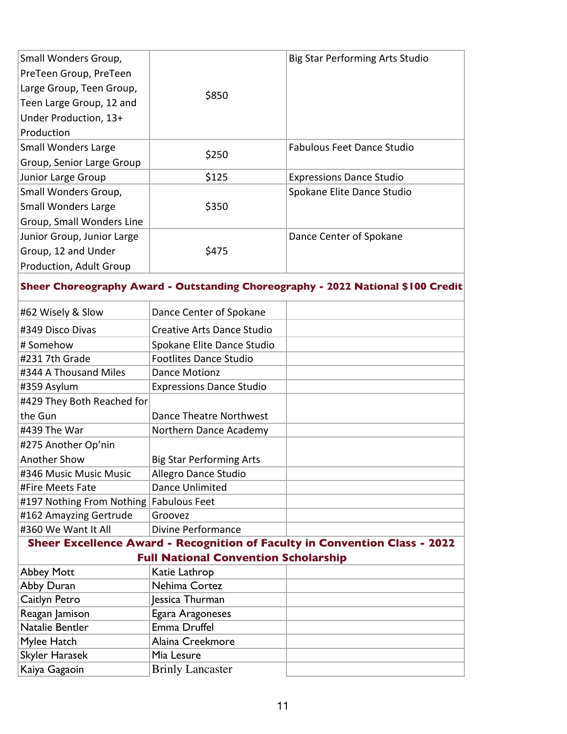| Small Wonders Group,                      |                                             | <b>Big Star Performing Arts Studio</b>                                           |
|-------------------------------------------|---------------------------------------------|----------------------------------------------------------------------------------|
| PreTeen Group, PreTeen                    |                                             |                                                                                  |
| Large Group, Teen Group,                  | \$850                                       |                                                                                  |
| Teen Large Group, 12 and                  |                                             |                                                                                  |
| Under Production, 13+                     |                                             |                                                                                  |
| Production                                |                                             |                                                                                  |
| <b>Small Wonders Large</b>                | \$250                                       | <b>Fabulous Feet Dance Studio</b>                                                |
| Group, Senior Large Group                 |                                             |                                                                                  |
| Junior Large Group                        | \$125                                       | <b>Expressions Dance Studio</b>                                                  |
| Small Wonders Group,                      |                                             | Spokane Elite Dance Studio                                                       |
| <b>Small Wonders Large</b>                | \$350                                       |                                                                                  |
| Group, Small Wonders Line                 |                                             |                                                                                  |
| Junior Group, Junior Large                |                                             | Dance Center of Spokane                                                          |
| Group, 12 and Under                       | \$475                                       |                                                                                  |
| Production, Adult Group                   |                                             |                                                                                  |
|                                           |                                             | Sheer Choreography Award - Outstanding Choreography - 2022 National \$100 Credit |
| #62 Wisely & Slow                         | Dance Center of Spokane                     |                                                                                  |
|                                           |                                             |                                                                                  |
| #349 Disco Divas                          | <b>Creative Arts Dance Studio</b>           |                                                                                  |
| # Somehow                                 | Spokane Elite Dance Studio                  |                                                                                  |
| #231 7th Grade                            | <b>Footlites Dance Studio</b>               |                                                                                  |
| #344 A Thousand Miles                     | <b>Dance Motionz</b>                        |                                                                                  |
| #359 Asylum                               | <b>Expressions Dance Studio</b>             |                                                                                  |
| #429 They Both Reached for                |                                             |                                                                                  |
| the Gun                                   | Dance Theatre Northwest                     |                                                                                  |
| #439 The War                              | Northern Dance Academy                      |                                                                                  |
| #275 Another Op'nin                       |                                             |                                                                                  |
| Another Show                              | <b>Big Star Performing Arts</b>             |                                                                                  |
| #346 Music Music Music                    | Allegro Dance Studio                        |                                                                                  |
| #Fire Meets Fate                          | <b>Dance Unlimited</b>                      |                                                                                  |
| #197 Nothing From Nothing   Fabulous Feet |                                             |                                                                                  |
| #162 Amayzing Gertrude                    | Groovez                                     |                                                                                  |
| #360 We Want It All                       | <b>Divine Performance</b>                   |                                                                                  |
|                                           |                                             | Sheer Excellence Award - Recognition of Faculty in Convention Class - 2022       |
|                                           | <b>Full National Convention Scholarship</b> |                                                                                  |
| <b>Abbey Mott</b>                         | Katie Lathrop                               |                                                                                  |
| Abby Duran                                | Nehima Cortez                               |                                                                                  |
| Caitlyn Petro                             | Jessica Thurman                             |                                                                                  |
| Reagan Jamison<br>Natalie Bentler         | Egara Aragoneses<br>Emma Druffel            |                                                                                  |
| Mylee Hatch                               | Alaina Creekmore                            |                                                                                  |
| Skyler Harasek                            | Mia Lesure                                  |                                                                                  |
| Kaiya Gagaoin                             | <b>Brinly Lancaster</b>                     |                                                                                  |
|                                           |                                             |                                                                                  |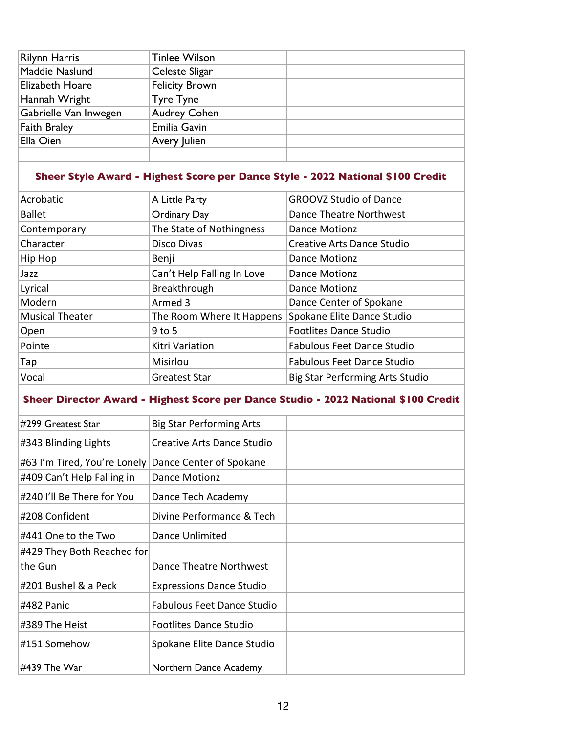| <b>Rilynn Harris</b>  | <b>Tinlee Wilson</b>  |  |
|-----------------------|-----------------------|--|
| Maddie Naslund        | Celeste Sligar        |  |
| Elizabeth Hoare       | <b>Felicity Brown</b> |  |
| Hannah Wright         | <b>Tyre Tyne</b>      |  |
| Gabrielle Van Inwegen | <b>Audrey Cohen</b>   |  |
| <b>Faith Braley</b>   | Emilia Gavin          |  |
| Ella Oien             | Avery Julien          |  |
|                       |                       |  |

# **Sheer Style Award - Highest Score per Dance Style - 2022 National \$100 Credit**

| Acrobatic              | A Little Party             | <b>GROOVZ Studio of Dance</b>          |
|------------------------|----------------------------|----------------------------------------|
| <b>Ballet</b>          | Ordinary Day               | Dance Theatre Northwest                |
| Contemporary           | The State of Nothingness   | <b>Dance Motionz</b>                   |
| Character              | Disco Divas                | <b>Creative Arts Dance Studio</b>      |
| Hip Hop                | Benji                      | <b>Dance Motionz</b>                   |
| Jazz                   | Can't Help Falling In Love | <b>Dance Motionz</b>                   |
| Lyrical                | Breakthrough               | <b>Dance Motionz</b>                   |
| Modern                 | Armed 3                    | Dance Center of Spokane                |
| <b>Musical Theater</b> | The Room Where It Happens  | Spokane Elite Dance Studio             |
| Open                   | $9$ to 5                   | <b>Footlites Dance Studio</b>          |
| Pointe                 | Kitri Variation            | <b>Fabulous Feet Dance Studio</b>      |
| Tap                    | Misirlou                   | <b>Fabulous Feet Dance Studio</b>      |
| Vocal                  | Greatest Star              | <b>Big Star Performing Arts Studio</b> |
|                        |                            |                                        |

# **Sheer Director Award - Highest Score per Dance Studio - 2022 National \$100 Credit**

| #299 Greatest Star           | <b>Big Star Performing Arts</b>   |  |
|------------------------------|-----------------------------------|--|
| #343 Blinding Lights         | Creative Arts Dance Studio        |  |
| #63 I'm Tired, You're Lonely | Dance Center of Spokane           |  |
| #409 Can't Help Falling in   | <b>Dance Motionz</b>              |  |
| #240 I'll Be There for You   | Dance Tech Academy                |  |
| #208 Confident               | Divine Performance & Tech         |  |
| #441 One to the Two          | Dance Unlimited                   |  |
| #429 They Both Reached for   |                                   |  |
| the Gun                      | Dance Theatre Northwest           |  |
| #201 Bushel & a Peck         | <b>Expressions Dance Studio</b>   |  |
| #482 Panic                   | <b>Fabulous Feet Dance Studio</b> |  |
| #389 The Heist               | <b>Footlites Dance Studio</b>     |  |
| #151 Somehow                 | Spokane Elite Dance Studio        |  |
| #439 The War                 | Northern Dance Academy            |  |
|                              |                                   |  |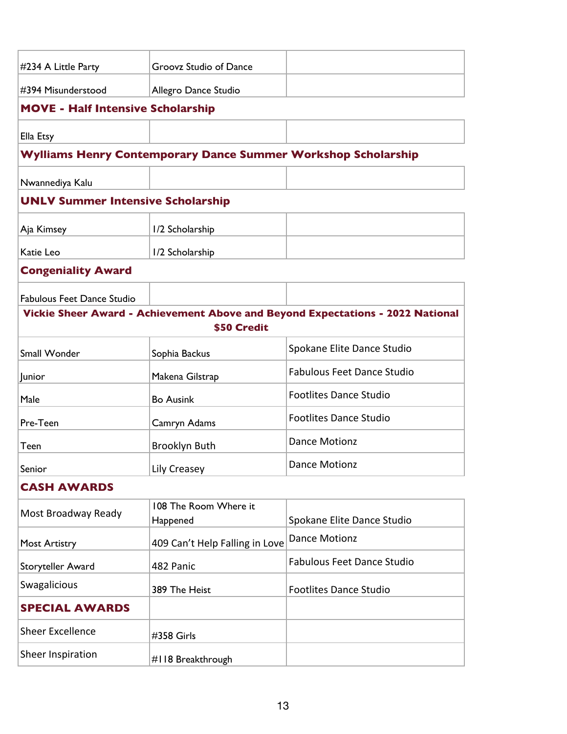| #234 A Little Party                      | Groovz Studio of Dance                                               |                                                                                |
|------------------------------------------|----------------------------------------------------------------------|--------------------------------------------------------------------------------|
| #394 Misunderstood                       | Allegro Dance Studio                                                 |                                                                                |
| <b>MOVE - Half Intensive Scholarship</b> |                                                                      |                                                                                |
| Ella Etsy                                |                                                                      |                                                                                |
|                                          | <b>Wylliams Henry Contemporary Dance Summer Workshop Scholarship</b> |                                                                                |
| Nwannediya Kalu                          |                                                                      |                                                                                |
| <b>UNLV Summer Intensive Scholarship</b> |                                                                      |                                                                                |
| Aja Kimsey                               | 1/2 Scholarship                                                      |                                                                                |
| Katie Leo                                | 1/2 Scholarship                                                      |                                                                                |
| <b>Congeniality Award</b>                |                                                                      |                                                                                |
| <b>Fabulous Feet Dance Studio</b>        |                                                                      |                                                                                |
|                                          |                                                                      | Vickie Sheer Award - Achievement Above and Beyond Expectations - 2022 National |
|                                          | \$50 Credit                                                          |                                                                                |
| <b>Small Wonder</b>                      | Sophia Backus                                                        | Spokane Elite Dance Studio                                                     |
| Junior                                   | Makena Gilstrap                                                      | <b>Fabulous Feet Dance Studio</b>                                              |
| Male                                     | <b>Bo Ausink</b>                                                     | <b>Footlites Dance Studio</b>                                                  |
| Pre-Teen                                 | Camryn Adams                                                         | <b>Footlites Dance Studio</b>                                                  |
| Teen                                     | Brooklyn Buth                                                        | <b>Dance Motionz</b>                                                           |
| Senior                                   | Lily Creasey                                                         | <b>Dance Motionz</b>                                                           |
| <b>CASH AWARDS</b>                       |                                                                      |                                                                                |
| Most Broadway Ready                      | 108 The Room Where it<br>Happened                                    | Spokane Elite Dance Studio                                                     |
| <b>Most Artistry</b>                     | 409 Can't Help Falling in Love                                       | <b>Dance Motionz</b>                                                           |
| Storyteller Award                        | 482 Panic                                                            | <b>Fabulous Feet Dance Studio</b>                                              |
| <b>Swagalicious</b>                      | 389 The Heist                                                        | <b>Footlites Dance Studio</b>                                                  |
| <b>SPECIAL AWARDS</b>                    |                                                                      |                                                                                |
| <b>Sheer Excellence</b>                  | #358 Girls                                                           |                                                                                |
| Sheer Inspiration                        | #118 Breakthrough                                                    |                                                                                |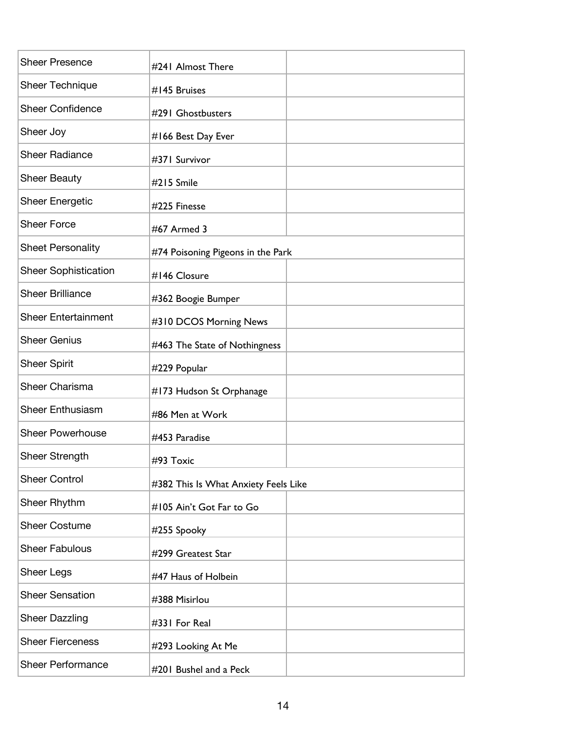| <b>Sheer Presence</b>       | #241 Almost There                    |  |
|-----------------------------|--------------------------------------|--|
| <b>Sheer Technique</b>      | #145 Bruises                         |  |
| <b>Sheer Confidence</b>     | #291 Ghostbusters                    |  |
| Sheer Joy                   | #166 Best Day Ever                   |  |
| <b>Sheer Radiance</b>       | #371 Survivor                        |  |
| <b>Sheer Beauty</b>         | #215 Smile                           |  |
| <b>Sheer Energetic</b>      | #225 Finesse                         |  |
| <b>Sheer Force</b>          | #67 Armed 3                          |  |
| <b>Sheet Personality</b>    | #74 Poisoning Pigeons in the Park    |  |
| <b>Sheer Sophistication</b> | #146 Closure                         |  |
| <b>Sheer Brilliance</b>     | #362 Boogie Bumper                   |  |
| <b>Sheer Entertainment</b>  | #310 DCOS Morning News               |  |
| <b>Sheer Genius</b>         | #463 The State of Nothingness        |  |
| <b>Sheer Spirit</b>         | #229 Popular                         |  |
| <b>Sheer Charisma</b>       | #173 Hudson St Orphanage             |  |
| <b>Sheer Enthusiasm</b>     | #86 Men at Work                      |  |
| <b>Sheer Powerhouse</b>     | #453 Paradise                        |  |
| Sheer Strength              | #93 Toxic                            |  |
| <b>Sheer Control</b>        | #382 This Is What Anxiety Feels Like |  |
| Sheer Rhythm                | #105 Ain't Got Far to Go             |  |
| <b>Sheer Costume</b>        | #255 Spooky                          |  |
| <b>Sheer Fabulous</b>       | #299 Greatest Star                   |  |
| Sheer Legs                  | #47 Haus of Holbein                  |  |
| <b>Sheer Sensation</b>      | #388 Misirlou                        |  |
| <b>Sheer Dazzling</b>       | #331 For Real                        |  |
| <b>Sheer Fierceness</b>     | #293 Looking At Me                   |  |
| <b>Sheer Performance</b>    | #201 Bushel and a Peck               |  |